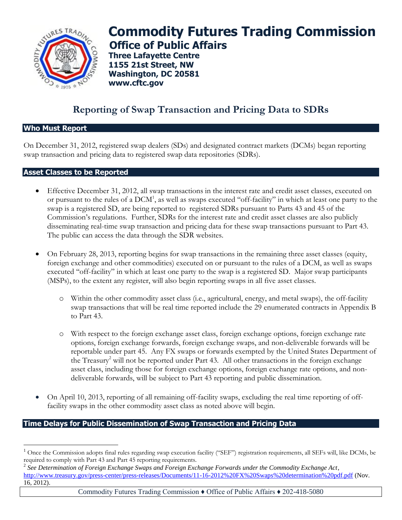

# **Commodity Futures Trading Commission Office of Public Affairs**

**Three Lafayette Centre 1155 21st Street, NW Washington, DC 20581 www.cftc.gov**

# **Reporting of Swap Transaction and Pricing Data to SDRs**

#### **Who Must Report**

 $\overline{a}$ 

On December 31, 2012, registered swap dealers (SDs) and designated contract markets (DCMs) began reporting swap transaction and pricing data to registered swap data repositories (SDRs).

#### **Asset Classes to be Reported**

- Effective December 31, 2012, all swap transactions in the interest rate and credit asset classes, executed on or pursuant to the rules of a  $DCM^1$ , as well as swaps executed "off-facility" in which at least one party to the swap is a registered SD, are being reported to registered SDRs pursuant to Parts 43 and 45 of the Commission's regulations. Further, SDRs for the interest rate and credit asset classes are also publicly disseminating real-time swap transaction and pricing data for these swap transactions pursuant to Part 43. The public can access the data through the SDR websites.
- On February 28, 2013, reporting begins for swap transactions in the remaining three asset classes (equity, foreign exchange and other commodities) executed on or pursuant to the rules of a DCM, as well as swaps executed ''off-facility" in which at least one party to the swap is a registered SD. Major swap participants (MSPs), to the extent any register, will also begin reporting swaps in all five asset classes.
	- o Within the other commodity asset class (i.e., agricultural, energy, and metal swaps), the off-facility swap transactions that will be real time reported include the 29 enumerated contracts in Appendix B to Part 43.
	- o With respect to the foreign exchange asset class, foreign exchange options, foreign exchange rate options, foreign exchange forwards, foreign exchange swaps, and non-deliverable forwards will be reportable under part 45. Any FX swaps or forwards exempted by the United States Department of the Treasury<sup>2</sup> will not be reported under Part 43. All other transactions in the foreign exchange asset class, including those for foreign exchange options, foreign exchange rate options, and nondeliverable forwards, will be subject to Part 43 reporting and public dissemination.
- On April 10, 2013, reporting of all remaining off-facility swaps, excluding the real time reporting of offfacility swaps in the other commodity asset class as noted above will begin.

### **Time Delays for Public Dissemination of Swap Transaction and Pricing Data**

2 *See Determination of Foreign Exchange Swaps and Foreign Exchange Forwards under the Commodity Exchange Act*, <http://www.treasury.gov/press-center/press-releases/Documents/11-16-2012%20FX%20Swaps%20determination%20pdf.pdf> (Nov. 16, 2012).

<sup>&</sup>lt;sup>1</sup> Once the Commission adopts final rules regarding swap execution facility ("SEF") registration requirements, all SEFs will, like DCMs, be required to comply with Part 43 and Part 45 reporting requirements.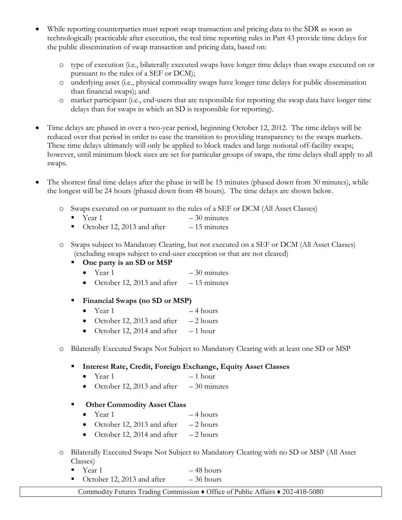- While reporting counterparties must report swap transaction and pricing data to the SDR as soon as technologically practicable after execution, the real time reporting rules in Part 43 provide time delays for the public dissemination of swap transaction and pricing data, based on:
	- o type of execution (i.e., bilaterally executed swaps have longer time delays than swaps executed on or pursuant to the rules of a SEF or DCM);
	- o underlying asset (i.e., physical commodity swaps have longer time delays for public dissemination than financial swaps); and
	- o market participant (i.e., end-users that are responsible for reporting the swap data have longer time delays than for swaps in which an SD is responsible for reporting).
- Time delays are phased in over a two-year period, beginning October 12, 2012. The time delays will be reduced over that period in order to ease the transition to providing transparency to the swaps markets. These time delays ultimately will only be applied to block trades and large notional off-facility swaps; however, until minimum block sizes are set for particular groups of swaps, the time delays shall apply to all swaps.
- The shortest final time delays after the phase in will be 15 minutes (phased down from 30 minutes), while the longest will be 24 hours (phased down from 48 hours). The time delays are shown below.
	- o Swaps executed on or pursuant to the rules of a SEF or DCM (All Asset Classes)
		- Year  $1 30$  minutes
		- October 12, 2013 and after  $-15$  minutes
	- o Swaps subject to Mandatory Clearing, but not executed on a SEF or DCM (All Asset Classes) (excluding swaps subject to end-user exception or that are not cleared)
		- **One party is an SD or MSP** 
			- Year 1  $-30$  minutes
			- October 12, 2013 and after  $-15$  minutes

### **Financial Swaps (no SD or MSP)**

- Year 1  $-4$  hours
- October 12, 2013 and after  $-2$  hours
- October 12, 2014 and after  $-1$  hour

### o Bilaterally Executed Swaps Not Subject to Mandatory Clearing with at least one SD or MSP

## **Interest Rate, Credit, Foreign Exchange, Equity Asset Classes**

- Year 1  $-1$  hour
- October 12, 2013 and after  $-30$  minutes

### **Other Commodity Asset Class**

- Year 1  $-4$  hours
- October 12, 2013 and after  $-2$  hours
- October 12, 2014 and after  $-2$  hours
- o Bilaterally Executed Swaps Not Subject to Mandatory Clearing with no SD or MSP (All Asset Classes)
	- $Year 1 48 hours$
	- October 12, 2013 and after  $-36$  hours

Commodity Futures Trading Commission ♦ Office of Public Affairs ♦ 202-418-5080